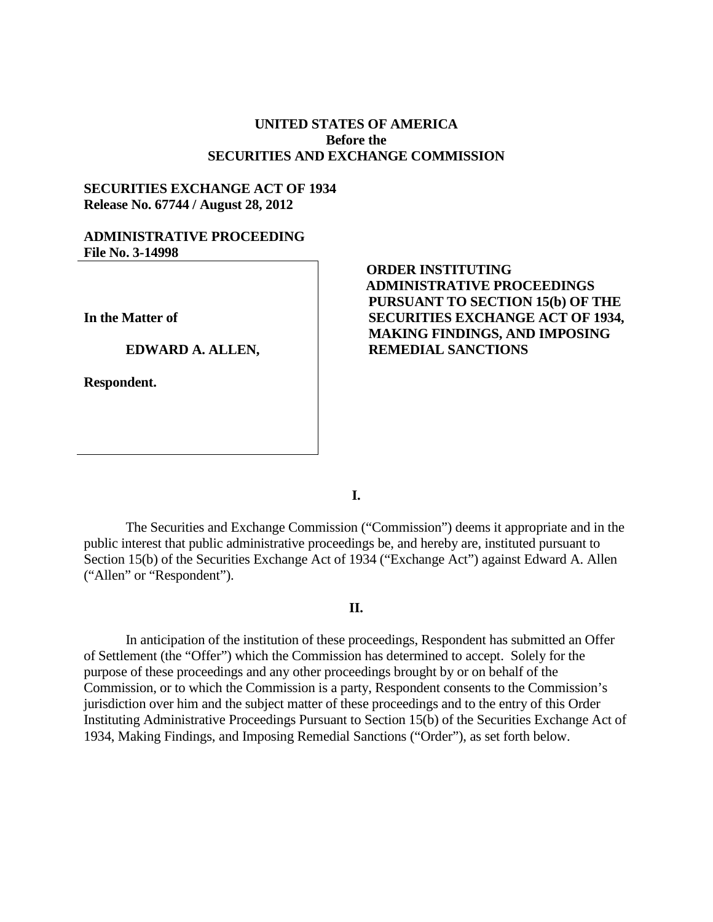## **UNITED STATES OF AMERICA Before the SECURITIES AND EXCHANGE COMMISSION**

## **SECURITIES EXCHANGE ACT OF 1934 Release No. 67744 / August 28, 2012**

### **ADMINISTRATIVE PROCEEDING File No. 3-14998**

**In the Matter of**

#### **EDWARD A. ALLEN,**

**Respondent.**

# **ORDER INSTITUTING ADMINISTRATIVE PROCEEDINGS PURSUANT TO SECTION 15(b) OF THE SECURITIES EXCHANGE ACT OF 1934, MAKING FINDINGS, AND IMPOSING REMEDIAL SANCTIONS**

**I.**

The Securities and Exchange Commission ("Commission") deems it appropriate and in the public interest that public administrative proceedings be, and hereby are, instituted pursuant to Section 15(b) of the Securities Exchange Act of 1934 ("Exchange Act") against Edward A. Allen ("Allen" or "Respondent").

#### **II.**

In anticipation of the institution of these proceedings, Respondent has submitted an Offer of Settlement (the "Offer") which the Commission has determined to accept. Solely for the purpose of these proceedings and any other proceedings brought by or on behalf of the Commission, or to which the Commission is a party, Respondent consents to the Commission's jurisdiction over him and the subject matter of these proceedings and to the entry of this Order Instituting Administrative Proceedings Pursuant to Section 15(b) of the Securities Exchange Act of 1934, Making Findings, and Imposing Remedial Sanctions ("Order"), as set forth below.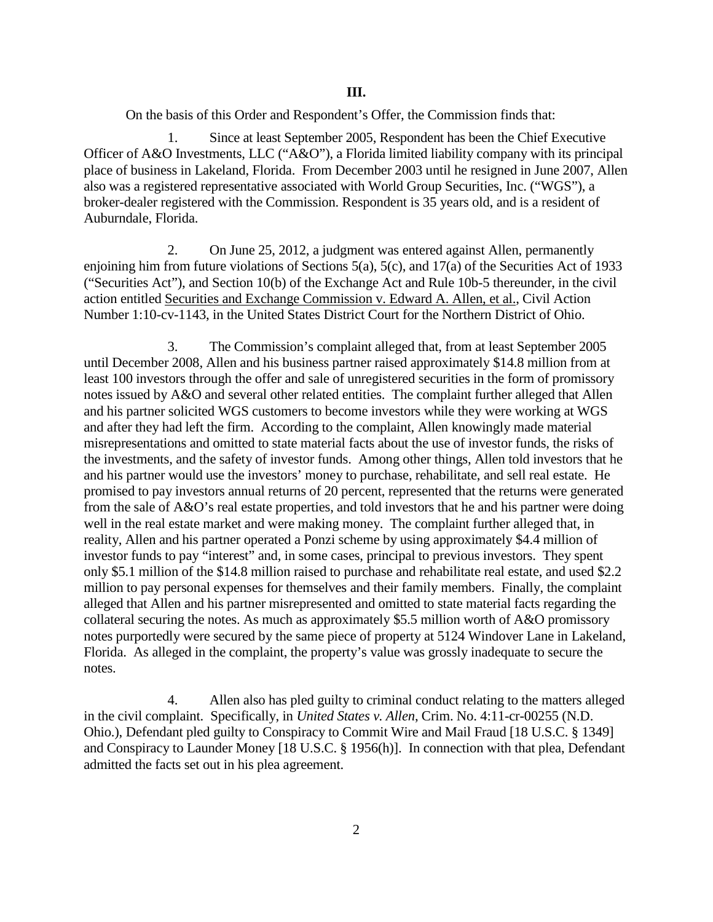On the basis of this Order and Respondent's Offer, the Commission finds that:

1. Since at least September 2005, Respondent has been the Chief Executive Officer of A&O Investments, LLC ("A&O"), a Florida limited liability company with its principal place of business in Lakeland, Florida. From December 2003 until he resigned in June 2007, Allen also was a registered representative associated with World Group Securities, Inc. ("WGS"), a broker-dealer registered with the Commission. Respondent is 35 years old, and is a resident of Auburndale, Florida.

2. On June 25, 2012, a judgment was entered against Allen, permanently enjoining him from future violations of Sections 5(a), 5(c), and 17(a) of the Securities Act of 1933 ("Securities Act"), and Section 10(b) of the Exchange Act and Rule 10b-5 thereunder, in the civil action entitled Securities and Exchange Commission v. Edward A. Allen, et al., Civil Action Number 1:10-cv-1143, in the United States District Court for the Northern District of Ohio.

3. The Commission's complaint alleged that, from at least September 2005 until December 2008, Allen and his business partner raised approximately \$14.8 million from at least 100 investors through the offer and sale of unregistered securities in the form of promissory notes issued by A&O and several other related entities. The complaint further alleged that Allen and his partner solicited WGS customers to become investors while they were working at WGS and after they had left the firm. According to the complaint, Allen knowingly made material misrepresentations and omitted to state material facts about the use of investor funds, the risks of the investments, and the safety of investor funds. Among other things, Allen told investors that he and his partner would use the investors' money to purchase, rehabilitate, and sell real estate. He promised to pay investors annual returns of 20 percent, represented that the returns were generated from the sale of A&O's real estate properties, and told investors that he and his partner were doing well in the real estate market and were making money. The complaint further alleged that, in reality, Allen and his partner operated a Ponzi scheme by using approximately \$4.4 million of investor funds to pay "interest" and, in some cases, principal to previous investors. They spent only \$5.1 million of the \$14.8 million raised to purchase and rehabilitate real estate, and used \$2.2 million to pay personal expenses for themselves and their family members. Finally, the complaint alleged that Allen and his partner misrepresented and omitted to state material facts regarding the collateral securing the notes. As much as approximately \$5.5 million worth of A&O promissory notes purportedly were secured by the same piece of property at 5124 Windover Lane in Lakeland, Florida. As alleged in the complaint, the property's value was grossly inadequate to secure the notes.

4. Allen also has pled guilty to criminal conduct relating to the matters alleged in the civil complaint. Specifically, in *United States v. Allen*, Crim. No. 4:11-cr-00255 (N.D. Ohio.), Defendant pled guilty to Conspiracy to Commit Wire and Mail Fraud [18 U.S.C. § 1349] and Conspiracy to Launder Money [18 U.S.C. § 1956(h)]. In connection with that plea, Defendant admitted the facts set out in his plea agreement.